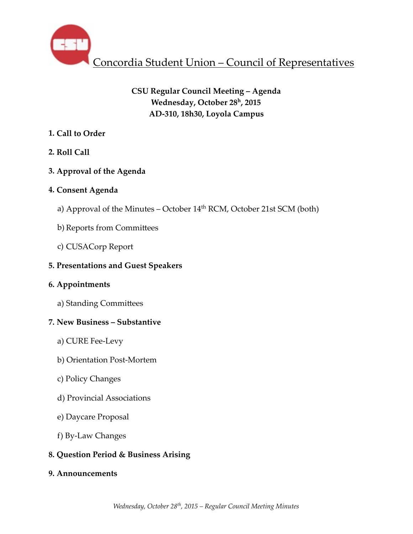

# **CSU Regular Council Meeting – Agenda Wednesday, October 28h, 2015 AD-310, 18h30, Loyola Campus**

# **1. Call to Order**

**2. Roll Call** 

# **3. Approval of the Agenda**

# **4. Consent Agenda**

- a) Approval of the Minutes October  $14<sup>th</sup> RCM$ , October 21st SCM (both)
- b) Reports from Committees
- c) CUSACorp Report

# **5. Presentations and Guest Speakers**

# **6. Appointments**

a) Standing Committees

# **7. New Business – Substantive**

- a) CURE Fee-Levy
- b) Orientation Post-Mortem
- c) Policy Changes
- d) Provincial Associations
- e) Daycare Proposal
- f) By-Law Changes

# **8. Question Period & Business Arising**

**9. Announcements**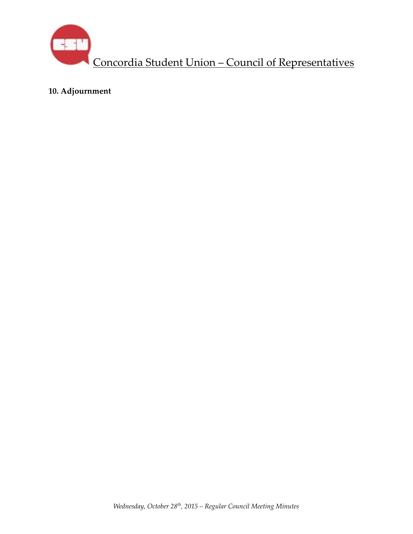

**10. Adjournment**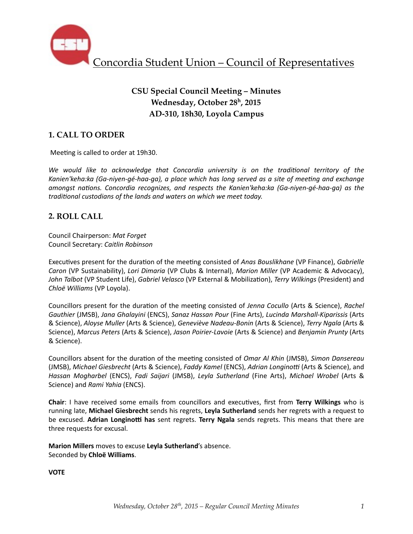

# **CSU Special Council Meeting – Minutes Wednesday, October 28h, 2015 AD-310, 18h30, Loyola Campus**

## **1. CALL TO ORDER**

Meeting is called to order at 19h30.

We would like to acknowledge that Concordia university is on the traditional territory of the Kanien'keha:ka (Ga-niyen-gé-haa-ga), a place which has long served as a site of meeting and exchange *amongst nations. Concordia recognizes, and respects the Kanien'keha:ka (Ga-niyen-gé-haa-ga)* as the *traditional custodians of the lands and waters on which we meet today.* 

### **2. ROLL CALL**

Council Chairperson: *Mat Forget* Council Secretary: *Caitlin Robinson*

Executives present for the duration of the meeting consisted of *Anas Bouslikhane* (VP Finance), *Gabrielle Caron* (VP Sustainability), *Lori Dimaria* (VP Clubs & Internal), *Marion Miller* (VP Academic & Advocacy), John Talbot (VP Student Life), *Gabriel Velasco* (VP External & Mobilization), *Terry Wilkings* (President) and *Chloë Williams* (VP Loyola). 

Councillors present for the duration of the meeting consisted of *Jenna Cocullo* (Arts & Science), *Rachel Gauthier* (JMSB), *Jana Ghalayini* (ENCS), *Sanaz Hassan Pour* (Fine Arts), *Lucinda Marshall-Kiparissis* (Arts & Science), *Aloyse Muller* (Arts & Science), *Geneviève Nadeau-Bonin* (Arts & Science), *Terry Ngala* (Arts & Science), *Marcus Peters* (Arts & Science), *Jason Poirier-Lavoie* (Arts & Science) and *Benjamin Prunty* (Arts & Science).

Councillors absent for the duration of the meeting consisted of *Omar Al Khin* (JMSB), *Simon Dansereau* (JMSB), Michael Giesbrecht (Arts & Science), Faddy Kamel (ENCS), Adrian Longinotti (Arts & Science), and *Hassan Mogharbel* (ENCS), *Fadi Saijari* (JMSB), *Leyla Sutherland* (Fine Arts), *Michael Wrobel* (Arts & Science) and *Rami Yahia* (ENCS).

**Chair:** I have received some emails from councillors and executives, first from **Terry Wilkings** who is running late, Michael Giesbrecht sends his regrets, Leyla Sutherland sends her regrets with a request to be excused. Adrian Longinotti has sent regrets. Terry Ngala sends regrets. This means that there are three requests for excusal.

**Marion Millers** moves to excuse Leyla Sutherland's absence. Seconded by **Chloë Williams**. 

**VOTE**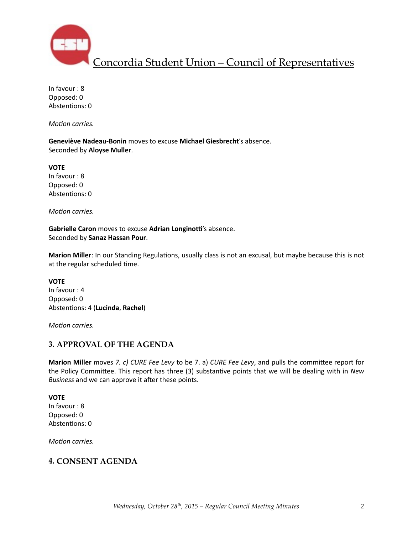

In favour : 8 Opposed: 0 Abstentions: 0

*Motion carries.* 

**Geneviève Nadeau-Bonin** moves to excuse Michael Giesbrecht's absence. Seconded by **Aloyse Muller**.

**VOTE** In favour : 8 Opposed: 0 Abstentions: 0

*Motion carries.* 

**Gabrielle Caron** moves to excuse Adrian Longinotti's absence. Seconded by **Sanaz Hassan Pour**. 

**Marion Miller**: In our Standing Regulations, usually class is not an excusal, but maybe because this is not at the regular scheduled time.

**VOTE** In favour : 4 Opposed: 0 Abstentions: 4 (Lucinda, Rachel)

*Motion carries.* 

### **3. APPROVAL OF THE AGENDA**

**Marion Miller** moves *7. c) CURE Fee Levy* to be 7. a) *CURE Fee Levy*, and pulls the committee report for the Policy Committee. This report has three (3) substantive points that we will be dealing with in *New Business* and we can approve it after these points.

#### **VOTE**

In favour : 8 Opposed: 0 Abstentions: 0

*Motion carries.* 

### **4. CONSENT AGENDA**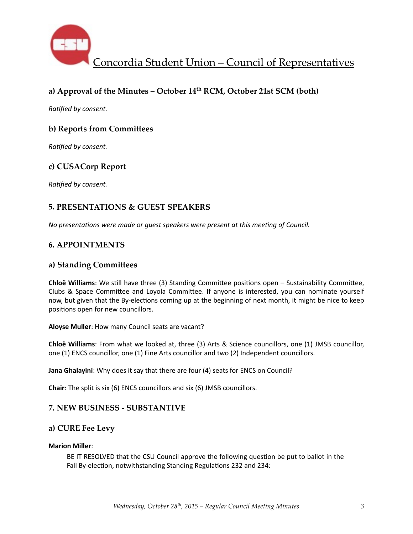

# **a) Approval of the Minutes – October 14th RCM, October 21st SCM (both)**

**Ratified by consent.** 

### **b) Reports from Committees**

**Ratified by consent.** 

### **c) CUSACorp Report**

**Ratified by consent.** 

## **5. PRESENTATIONS & GUEST SPEAKERS**

*No* presentations were made or quest speakers were present at this meeting of Council.

### **6. APPOINTMENTS**

### **a) Standing Committees**

**Chloë Williams**: We still have three (3) Standing Committee positions open – Sustainability Committee, Clubs & Space Committee and Loyola Committee. If anyone is interested, you can nominate yourself now, but given that the By-elections coming up at the beginning of next month, it might be nice to keep positions open for new councillors.

**Aloyse Muller:** How many Council seats are vacant?

**Chloë Williams**: From what we looked at, three (3) Arts & Science councillors, one (1) JMSB councillor, one (1) ENCS councillor, one (1) Fine Arts councillor and two (2) Independent councillors.

**Jana Ghalayini**: Why does it say that there are four (4) seats for ENCS on Council?

**Chair:** The split is six (6) ENCS councillors and six (6) JMSB councillors.

### **7. NEW BUSINESS - SUBSTANTIVE**

### **a) CURE Fee Levy**

#### **Marion Miller**:

BE IT RESOLVED that the CSU Council approve the following question be put to ballot in the Fall By-election, notwithstanding Standing Regulations 232 and 234: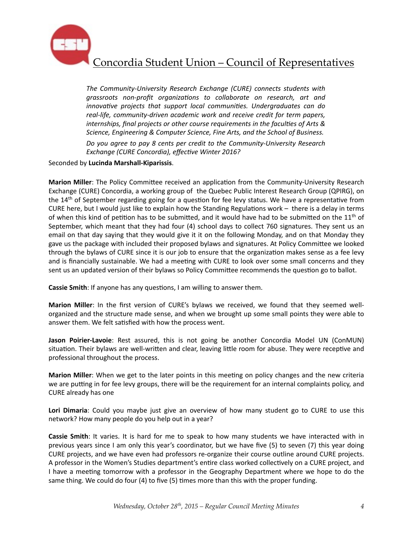

The Community-University Research Exchange (CURE) connects students with grassroots non-profit organizations to collaborate on research, art and *innovative projects that support local communities. Undergraduates can do* real-life, community-driven academic work and receive credit for term papers, *internships, final projects or other course requirements in the faculties of Arts &* Science, Engineering & Computer Science, Fine Arts, and the School of Business.

Do you agree to pay 8 cents per credit to the Community-University Research Exchange (CURE Concordia), effective Winter 2016?

#### Seconded by **Lucinda Marshall-Kiparissis**.

**Marion Miller**: The Policy Committee received an application from the Community-University Research Exchange (CURE) Concordia, a working group of the Quebec Public Interest Research Group (QPIRG), on the 14<sup>th</sup> of September regarding going for a question for fee levy status. We have a representative from CURE here, but I would just like to explain how the Standing Regulations work  $-$  there is a delay in terms of when this kind of petition has to be submitted, and it would have had to be submitted on the 11<sup>th</sup> of September, which meant that they had four (4) school days to collect 760 signatures. They sent us an email on that day saying that they would give it it on the following Monday, and on that Monday they gave us the package with included their proposed bylaws and signatures. At Policy Committee we looked through the bylaws of CURE since it is our job to ensure that the organization makes sense as a fee levy and is financially sustainable. We had a meeting with CURE to look over some small concerns and they sent us an updated version of their bylaws so Policy Committee recommends the question go to ballot.

**Cassie Smith**: If anyone has any questions, I am willing to answer them.

**Marion Miller**: In the first version of CURE's bylaws we received, we found that they seemed wellorganized and the structure made sense, and when we brought up some small points they were able to answer them. We felt satisfied with how the process went.

**Jason Poirier-Lavoie**: Rest assured, this is not going be another Concordia Model UN (ConMUN) situation. Their bylaws are well-written and clear, leaving little room for abuse. They were receptive and professional throughout the process.

**Marion Miller**: When we get to the later points in this meeting on policy changes and the new criteria we are putting in for fee levy groups, there will be the requirement for an internal complaints policy, and CURE already has one

Lori Dimaria: Could you maybe just give an overview of how many student go to CURE to use this network? How many people do you help out in a year?

**Cassie Smith**: It varies. It is hard for me to speak to how many students we have interacted with in previous years since I am only this year's coordinator, but we have five  $(5)$  to seven  $(7)$  this year doing CURE projects, and we have even had professors re-organize their course outline around CURE projects. A professor in the Women's Studies department's entire class worked collectively on a CURE project, and I have a meeting tomorrow with a professor in the Geography Department where we hope to do the same thing. We could do four  $(4)$  to five  $(5)$  times more than this with the proper funding.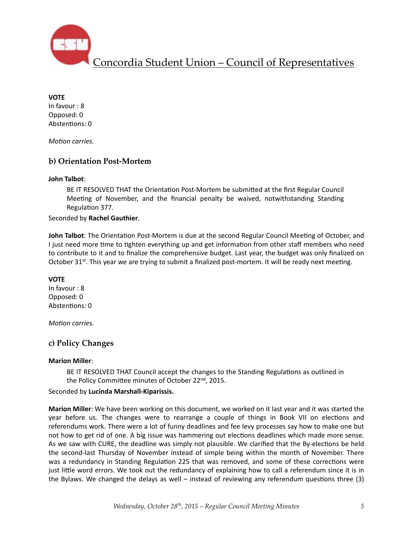

#### **VOTE**

In favour : 8 Opposed: 0 Abstentions: 0

*Motion carries.* 

# **b) Orientation Post-Mortem**

### **John Talbot**:

BE IT RESOLVED THAT the Orientation Post-Mortem be submitted at the first Regular Council Meeting of November, and the financial penalty be waived, notwithstanding Standing Regulation 377.

### Seconded by **Rachel Gauthier**.

**John Talbot**: The Orientation Post-Mortem is due at the second Regular Council Meeting of October, and I just need more time to tighten everything up and get information from other staff members who need to contribute to it and to finalize the comprehensive budget. Last year, the budget was only finalized on October  $31^{st}$ . This year we are trying to submit a finalized post-mortem. It will be ready next meeting.

### **VOTE**

In favour : 8 Opposed: 0 Abstentions: 0

*Motion carries.* 

### **c) Policy Changes**

### **Marion Miller**:

BE IT RESOLVED THAT Council accept the changes to the Standing Regulations as outlined in the Policy Committee minutes of October 22<sup>nd</sup>, 2015.

### Seconded by **Lucinda Marshall-Kiparissis.**

**Marion Miller**: We have been working on this document, we worked on it last year and it was started the year before us. The changes were to rearrange a couple of things in Book VII on elections and referendums work. There were a lot of funny deadlines and fee levy processes say how to make one but not how to get rid of one. A big issue was hammering out elections deadlines which made more sense. As we saw with CURE, the deadline was simply not plausible. We clarified that the By-elections be held the second-last Thursday of November instead of simple being within the month of November. There was a redundancy in Standing Regulation 225 that was removed, and some of these corrections were just little word errors. We took out the redundancy of explaining how to call a referendum since it is in the Bylaws. We changed the delays as well – instead of reviewing any referendum questions three  $(3)$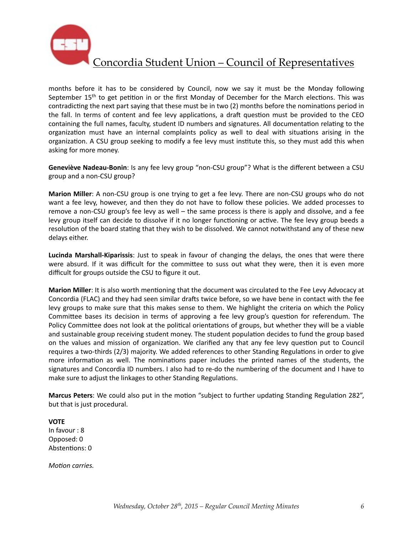

months before it has to be considered by Council, now we say it must be the Monday following September  $15<sup>th</sup>$  to get petition in or the first Monday of December for the March elections. This was contradicting the next part saying that these must be in two (2) months before the nominations period in the fall. In terms of content and fee levy applications, a draft question must be provided to the CEO containing the full names, faculty, student ID numbers and signatures. All documentation relating to the organization must have an internal complaints policy as well to deal with situations arising in the organization. A CSU group seeking to modify a fee levy must institute this, so they must add this when asking for more money.

**Geneviève Nadeau-Bonin**: Is any fee levy group "non-CSU group"? What is the different between a CSU group and a non-CSU group?

**Marion Miller**: A non-CSU group is one trying to get a fee levy. There are non-CSU groups who do not want a fee levy, however, and then they do not have to follow these policies. We added processes to remove a non-CSU group's fee levy as well – the same process is there is apply and dissolve, and a fee levy group itself can decide to dissolve if it no longer functioning or active. The fee levy group beeds a resolution of the board stating that they wish to be dissolved. We cannot notwithstand any of these new delays either.

**Lucinda Marshall-Kiparissis**: Just to speak in favour of changing the delays, the ones that were there were absurd. If it was difficult for the committee to suss out what they were, then it is even more difficult for groups outside the CSU to figure it out.

**Marion Miller**: It is also worth mentioning that the document was circulated to the Fee Levy Advocacy at Concordia (FLAC) and they had seen similar drafts twice before, so we have bene in contact with the fee levy groups to make sure that this makes sense to them. We highlight the criteria on which the Policy Committee bases its decision in terms of approving a fee levy group's question for referendum. The Policy Committee does not look at the political orientations of groups, but whether they will be a viable and sustainable group receiving student money. The student population decides to fund the group based on the values and mission of organization. We clarified any that any fee levy question put to Council requires a two-thirds (2/3) majority. We added references to other Standing Regulations in order to give more information as well. The nominations paper includes the printed names of the students, the signatures and Concordia ID numbers. I also had to re-do the numbering of the document and I have to make sure to adjust the linkages to other Standing Regulations.

**Marcus Peters**: We could also put in the motion "subject to further updating Standing Regulation 282", but that is just procedural.

**VOTE**  In favour : 8 Opposed: 0 Abstentions: 0

*Motion carries.*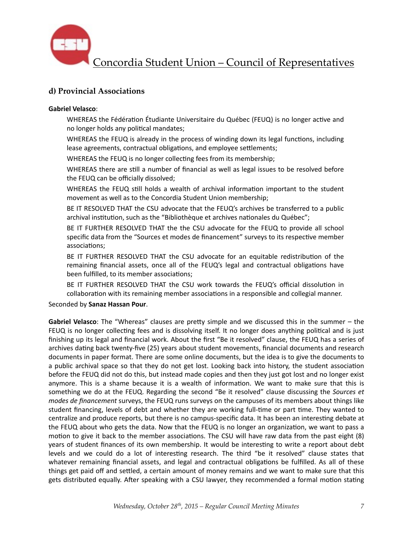

## **d) Provincial Associations**

#### **Gabriel Velasco**:

WHEREAS the Fédération Étudiante Universitaire du Québec (FEUQ) is no longer active and no longer holds any political mandates;

WHEREAS the FEUQ is already in the process of winding down its legal functions, including lease agreements, contractual obligations, and employee settlements;

WHEREAS the FEUQ is no longer collecting fees from its membership;

WHEREAS there are still a number of financial as well as legal issues to be resolved before the FEUQ can be officially dissolved;

WHEREAS the FEUQ still holds a wealth of archival information important to the student movement as well as to the Concordia Student Union membership;

BE IT RESOLVED THAT the CSU advocate that the  $FEUQ's$  archives be transferred to a public archival institution, such as the "Bibliothèque et archives nationales du Québec";

BE IT FURTHER RESOLVED THAT the the CSU advocate for the FEUQ to provide all school specific data from the "Sources et modes de financement" surveys to its respective member associations;

BE IT FURTHER RESOLVED THAT the CSU advocate for an equitable redistribution of the remaining financial assets, once all of the FEUQ's legal and contractual obligations have been fulfilled, to its member associations;

BE IT FURTHER RESOLVED THAT the CSU work towards the FEUQ's official dissolution in collaboration with its remaining member associations in a responsible and collegial manner.

Seconded by **Sanaz Hassan Pour**. 

Gabriel Velasco: The "Whereas" clauses are pretty simple and we discussed this in the summer – the FEUQ is no longer collecting fees and is dissolving itself. It no longer does anything political and is just finishing up its legal and financial work. About the first "Be it resolved" clause, the FEUQ has a series of archives dating back twenty-five (25) years about student movements, financial documents and research documents in paper format. There are some online documents, but the idea is to give the documents to a public archival space so that they do not get lost. Looking back into history, the student association before the FEUQ did not do this, but instead made copies and then they just got lost and no longer exist anymore. This is a shame because it is a wealth of information. We want to make sure that this is something we do at the FEUQ. Regarding the second "Be it resolved" clause discussing the *Sources et modes de financement* surveys, the FEUQ runs surveys on the campuses of its members about things like student financing, levels of debt and whether they are working full-time or part time. They wanted to centralize and produce reports, but there is no campus-specific data. It has been an interesting debate at the FEUQ about who gets the data. Now that the FEUQ is no longer an organization, we want to pass a motion to give it back to the member associations. The CSU will have raw data from the past eight (8) years of student finances of its own membership. It would be interesting to write a report about debt levels and we could do a lot of interesting research. The third "be it resolved" clause states that whatever remaining financial assets, and legal and contractual obligations be fulfilled. As all of these things get paid off and settled, a certain amount of money remains and we want to make sure that this gets distributed equally. After speaking with a CSU lawyer, they recommended a formal motion stating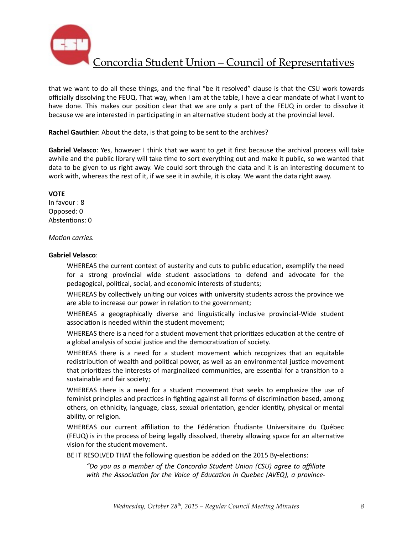

that we want to do all these things, and the final "be it resolved" clause is that the CSU work towards officially dissolving the FEUQ. That way, when I am at the table, I have a clear mandate of what I want to have done. This makes our position clear that we are only a part of the FEUQ in order to dissolve it because we are interested in participating in an alternative student body at the provincial level.

**Rachel Gauthier:** About the data, is that going to be sent to the archives?

**Gabriel Velasco**: Yes, however I think that we want to get it first because the archival process will take awhile and the public library will take time to sort everything out and make it public, so we wanted that data to be given to us right away. We could sort through the data and it is an interesting document to work with, whereas the rest of it, if we see it in awhile, it is okay. We want the data right away.

**VOTE** 

In favour : 8 Opposed: 0 Abstentions: 0

*Motion carries.* 

#### **Gabriel Velasco**:

WHEREAS the current context of austerity and cuts to public education, exemplify the need for a strong provincial wide student associations to defend and advocate for the pedagogical, political, social, and economic interests of students;

WHEREAS by collectively uniting our voices with university students across the province we are able to increase our power in relation to the government;

WHEREAS a geographically diverse and linguistically inclusive provincial-Wide student association is needed within the student movement;

WHEREAS there is a need for a student movement that prioritizes education at the centre of a global analysis of social justice and the democratization of society.

WHEREAS there is a need for a student movement which recognizes that an equitable redistribution of wealth and political power, as well as an environmental justice movement that prioritizes the interests of marginalized communities, are essential for a transition to a sustainable and fair society;

WHEREAS there is a need for a student movement that seeks to emphasize the use of feminist principles and practices in fighting against all forms of discrimination based, among others, on ethnicity, language, class, sexual orientation, gender identity, physical or mental ability, or religion.

WHEREAS our current affiliation to the Fédération Étudiante Universitaire du Québec  $(FEUQ)$  is in the process of being legally dissolved, thereby allowing space for an alternative vision for the student movement.

BE IT RESOLVED THAT the following question be added on the 2015 By-elections:

*"Do you as a member of the Concordia Student Union (CSU) agree to affiliate with* the Association for the Voice of Education in Quebec (AVEQ), a province-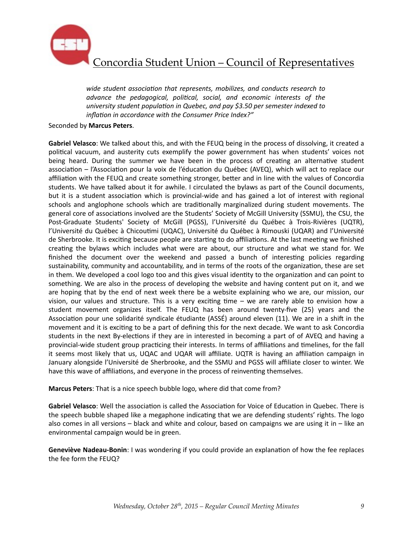

wide student association that represents, mobilizes, and conducts research to advance the pedagogical, political, social, and economic interests of the *university student population in Quebec, and pay \$3.50 per semester indexed to inflation in accordance with the Consumer Price Index?"* 

#### Seconded by **Marcus Peters**.

**Gabriel Velasco**: We talked about this, and with the FEUQ being in the process of dissolving, it created a political vacuum, and austerity cuts exemplify the power government has when students' voices not being heard. During the summer we have been in the process of creating an alternative student association – l'Association pour la voix de l'éducation du Québec (AVEQ), which will act to replace our affiliation with the FEUQ and create something stronger, better and in line with the values of Concordia students. We have talked about it for awhile. I circulated the bylaws as part of the Council documents, but it is a student association which is provincial-wide and has gained a lot of interest with regional schools and anglophone schools which are traditionally marginalized during student movements. The general core of associations involved are the Students' Society of McGill University (SSMU), the CSU, the Post-Graduate Students' Society of McGill (PGSS), l'Université du Québec à Trois-Rivières (UQTR), l'Université du Québec à Chicoutimi (UQAC), Université du Québec à Rimouski (UQAR) and l'Université de Sherbrooke. It is exciting because people are starting to do affiliations. At the last meeting we finished creating the bylaws which includes what were are about, our structure and what we stand for. We finished the document over the weekend and passed a bunch of interesting policies regarding sustainability, community and accountability, and in terms of the roots of the organization, these are set in them. We developed a cool logo too and this gives visual identity to the organization and can point to something. We are also in the process of developing the website and having content put on it, and we are hoping that by the end of next week there be a website explaining who we are, our mission, our vision, our values and structure. This is a very exciting time  $-$  we are rarely able to envision how a student movement organizes itself. The FEUQ has been around twenty-five (25) years and the Association pour une solidarité syndicale étudiante (ASSÉ) around eleven (11). We are in a shift in the movement and it is exciting to be a part of defining this for the next decade. We want to ask Concordia students in the next By-elections if they are in interested in becoming a part of of AVEQ and having a provincial-wide student group practicing their interests. In terms of affiliations and timelines, for the fall it seems most likely that us, UQAC and UQAR will affiliate. UQTR is having an affiliation campaign in January alongside l'Université de Sherbrooke, and the SSMU and PGSS will affiliate closer to winter. We have this wave of affiliations, and everyone in the process of reinventing themselves.

**Marcus Peters**: That is a nice speech bubble logo, where did that come from?

**Gabriel Velasco:** Well the association is called the Association for Voice of Education in Quebec. There is the speech bubble shaped like a megaphone indicating that we are defending students' rights. The logo also comes in all versions – black and white and colour, based on campaigns we are using it in – like an environmental campaign would be in green.

**Geneviève Nadeau-Bonin**: I was wondering if you could provide an explanation of how the fee replaces the fee form the FEUQ?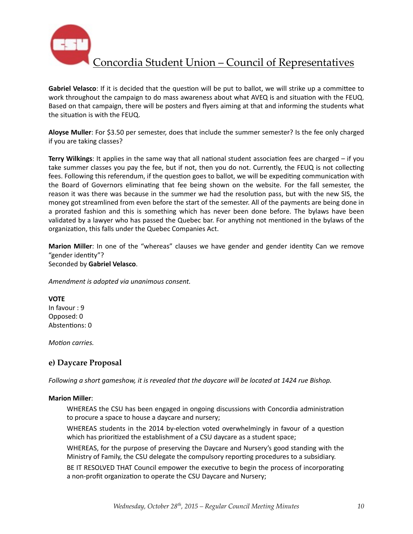

**Gabriel Velasco**: If it is decided that the question will be put to ballot, we will strike up a committee to work throughout the campaign to do mass awareness about what AVEQ is and situation with the FEUQ. Based on that campaign, there will be posters and flyers aiming at that and informing the students what the situation is with the FEUQ.

Aloyse Muller: For \$3.50 per semester, does that include the summer semester? Is the fee only charged if you are taking classes?

**Terry Wilkings**: It applies in the same way that all national student association fees are charged – if you take summer classes you pay the fee, but if not, then you do not. Currently, the FEUQ is not collecting fees. Following this referendum, if the question goes to ballot, we will be expediting communication with the Board of Governors eliminating that fee being shown on the website. For the fall semester, the reason it was there was because in the summer we had the resolution pass, but with the new SIS, the money got streamlined from even before the start of the semester. All of the payments are being done in a prorated fashion and this is something which has never been done before. The bylaws have been validated by a lawyer who has passed the Quebec bar. For anything not mentioned in the bylaws of the organization, this falls under the Quebec Companies Act.

**Marion Miller**: In one of the "whereas" clauses we have gender and gender identity Can we remove "gender identity"? Seconded by **Gabriel Velasco**. 

*Amendment is adopted via unanimous consent.* 

**VOTE** In favour : 9

Opposed: 0 Abstentions: 0

*Motion carries.* 

## **e) Daycare Proposal**

*Following a short gameshow, it is revealed that the daycare will be located at 1424 rue Bishop.* 

### **Marion Miller**:

WHEREAS the CSU has been engaged in ongoing discussions with Concordia administration to procure a space to house a daycare and nursery;

WHEREAS students in the 2014 by-election voted overwhelmingly in favour of a question which has prioritized the establishment of a CSU daycare as a student space;

WHEREAS, for the purpose of preserving the Daycare and Nursery's good standing with the Ministry of Family, the CSU delegate the compulsory reporting procedures to a subsidiary.

BE IT RESOLVED THAT Council empower the executive to begin the process of incorporating a non-profit organization to operate the CSU Daycare and Nursery;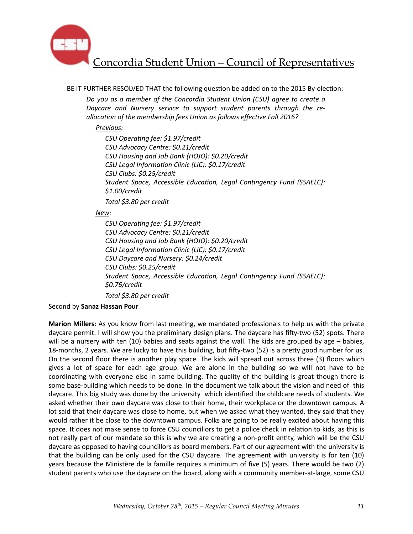

BE IT FURTHER RESOLVED THAT the following question be added on to the 2015 By-election:

Do you as a member of the Concordia Student Union (CSU) agree to create a Daycare and Nursery service to support student parents through the reallocation of the membership fees Union as follows effective Fall 2016?

#### *Previous:*

*CSU Opera6ng fee: \$1.97/credit CSU Advocacy Centre: \$0.21/credit CSU Housing and Job Bank (HOJO): \$0.20/credit CSU Legal Informa6on Clinic (LIC): \$0.17/credit CSU Clubs: \$0.25/credit Student Space, Accessible Education, Legal Contingency Fund (SSAELC): \$1.00/credit Total \$3.80 per credit* 

#### *New:*

*CSU Opera6ng fee: \$1.97/credit CSU Advocacy Centre: \$0.21/credit CSU Housing and Job Bank (HOJO): \$0.20/credit* CSU Legal Information Clinic (LIC): \$0.17/credit *CSU Daycare and Nursery: \$0.24/credit CSU Clubs: \$0.25/credit* Student Space, Accessible Education, Legal Contingency Fund (SSAELC): *\$0.76/credit Total \$3.80 per credit* 

#### Second by **Sanaz Hassan Pour**

**Marion Millers:** As you know from last meeting, we mandated professionals to help us with the private daycare permit. I will show you the preliminary design plans. The daycare has fifty-two (52) spots. There will be a nursery with ten (10) babies and seats against the wall. The kids are grouped by age  $-$  babies, 18-months, 2 years. We are lucky to have this building, but fifty-two (52) is a pretty good number for us. On the second floor there is another play space. The kids will spread out across three (3) floors which gives a lot of space for each age group. We are alone in the building so we will not have to be coordinating with everyone else in same building. The quality of the building is great though there is some base-building which needs to be done. In the document we talk about the vision and need of this daycare. This big study was done by the university which identified the childcare needs of students. We asked whether their own daycare was close to their home, their workplace or the downtown campus. A lot said that their daycare was close to home, but when we asked what they wanted, they said that they would rather it be close to the downtown campus. Folks are going to be really excited about having this space. It does not make sense to force CSU councillors to get a police check in relation to kids, as this is not really part of our mandate so this is why we are creating a non-profit entity, which will be the CSU daycare as opposed to having councillors as board members. Part of our agreement with the university is that the building can be only used for the CSU daycare. The agreement with university is for ten (10) years because the Ministère de la famille requires a minimum of five (5) years. There would be two (2) student parents who use the daycare on the board, along with a community member-at-large, some CSU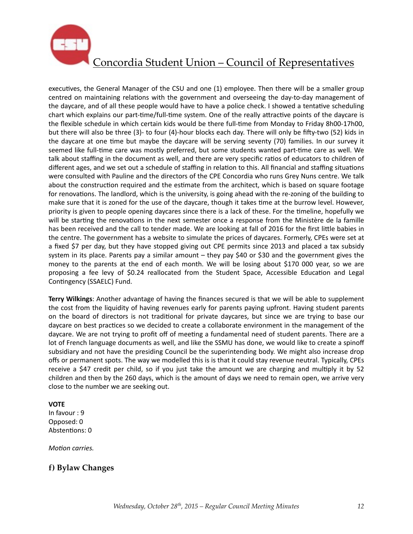

executives, the General Manager of the CSU and one (1) employee. Then there will be a smaller group centred on maintaining relations with the government and overseeing the day-to-day management of the daycare, and of all these people would have to have a police check. I showed a tentative scheduling chart which explains our part-time/full-time system. One of the really attractive points of the daycare is the flexible schedule in which certain kids would be there full-time from Monday to Friday 8h00-17h00, but there will also be three (3)- to four (4)-hour blocks each day. There will only be fifty-two (52) kids in the daycare at one time but maybe the daycare will be serving seventy (70) families. In our survey it seemed like full-time care was mostly preferred, but some students wanted part-time care as well. We talk about staffing in the document as well, and there are very specific ratios of educators to children of different ages, and we set out a schedule of staffing in relation to this. All financial and staffing situations were consulted with Pauline and the directors of the CPE Concordia who runs Grey Nuns centre. We talk about the construction required and the estimate from the architect, which is based on square footage for renovations. The landlord, which is the university, is going ahead with the re-zoning of the building to make sure that it is zoned for the use of the daycare, though it takes time at the burrow level. However, priority is given to people opening daycares since there is a lack of these. For the timeline, hopefully we will be starting the renovations in the next semester once a response from the Ministère de la famille has been received and the call to tender made. We are looking at fall of 2016 for the first little babies in the centre. The government has a website to simulate the prices of daycares. Formerly, CPEs were set at a fixed \$7 per day, but they have stopped giving out CPE permits since 2013 and placed a tax subsidy system in its place. Parents pay a similar amount  $-$  they pay \$40 or \$30 and the government gives the money to the parents at the end of each month. We will be losing about \$170 000 year, so we are proposing a fee levy of \$0.24 reallocated from the Student Space, Accessible Education and Legal Contingency (SSAELC) Fund.

**Terry Wilkings:** Another advantage of having the finances secured is that we will be able to supplement the cost from the liquidity of having revenues early for parents paying upfront. Having student parents on the board of directors is not traditional for private daycares, but since we are trying to base our daycare on best practices so we decided to create a collaborate environment in the management of the daycare. We are not trying to profit off of meeting a fundamental need of student parents. There are a lot of French language documents as well, and like the SSMU has done, we would like to create a spinoff subsidiary and not have the presiding Council be the superintending body. We might also increase drop offs or permanent spots. The way we modelled this is is that it could stay revenue neutral. Typically, CPEs receive a \$47 credit per child, so if you just take the amount we are charging and multiply it by 52 children and then by the 260 days, which is the amount of days we need to remain open, we arrive very close to the number we are seeking out.

### **VOTE**

In favour : 9 Opposed: 0 Abstentions: 0

*Motion carries.* 

## **f) Bylaw Changes**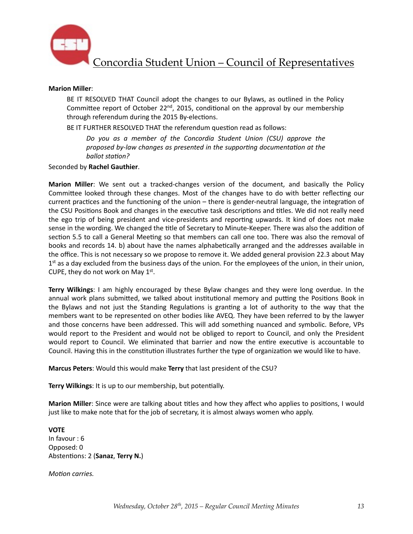

#### **Marion Miller**:

BE IT RESOLVED THAT Council adopt the changes to our Bylaws, as outlined in the Policy Committee report of October 22<sup>nd</sup>, 2015, conditional on the approval by our membership through referendum during the 2015 By-elections.

BE IT FURTHER RESOLVED THAT the referendum question read as follows:

Do you as a member of the Concordia Student Union (CSU) approve the *proposed by-law changes as presented in the supporting documentation at the ballot* station?

Seconded by **Rachel Gauthier**. 

**Marion Miller**: We sent out a tracked-changes version of the document, and basically the Policy Committee looked through these changes. Most of the changes have to do with better reflecting our current practices and the functioning of the union – there is gender-neutral language, the integration of the CSU Positions Book and changes in the executive task descriptions and titles. We did not really need the ego trip of being president and vice-presidents and reporting upwards. It kind of does not make sense in the wording. We changed the title of Secretary to Minute-Keeper. There was also the addition of section 5.5 to call a General Meeting so that members can call one too. There was also the removal of books and records 14. b) about have the names alphabetically arranged and the addresses available in the office. This is not necessary so we propose to remove it. We added general provision 22.3 about May  $1<sup>st</sup>$  as a day excluded from the business days of the union. For the employees of the union, in their union, CUPE, they do not work on May  $1<sup>st</sup>$ .

**Terry Wilkings**: I am highly encouraged by these Bylaw changes and they were long overdue. In the annual work plans submitted, we talked about institutional memory and putting the Positions Book in the Bylaws and not just the Standing Regulations is granting a lot of authority to the way that the members want to be represented on other bodies like AVEQ. They have been referred to by the lawyer and those concerns have been addressed. This will add something nuanced and symbolic. Before, VPs would report to the President and would not be obliged to report to Council, and only the President would report to Council. We eliminated that barrier and now the entire executive is accountable to Council. Having this in the constitution illustrates further the type of organization we would like to have.

**Marcus Peters:** Would this would make **Terry** that last president of the CSU?

**Terry Wilkings:** It is up to our membership, but potentially.

**Marion Miller**: Since were are talking about titles and how they affect who applies to positions, I would just like to make note that for the job of secretary, it is almost always women who apply.

**VOTE**  In favour  $: 6$ Opposed: 0 Abstentions: 2 (Sanaz, Terry N.)

*Motion carries.*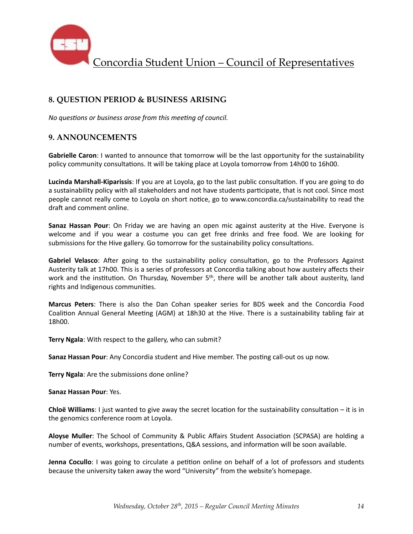

# **8. QUESTION PERIOD & BUSINESS ARISING**

*No questions or business arose from this meeting of council.* 

## **9. ANNOUNCEMENTS**

**Gabrielle Caron**: I wanted to announce that tomorrow will be the last opportunity for the sustainability policy community consultations. It will be taking place at Loyola tomorrow from 14h00 to 16h00.

**Lucinda Marshall-Kiparissis**: If you are at Loyola, go to the last public consultation. If you are going to do a sustainability policy with all stakeholders and not have students participate, that is not cool. Since most people cannot really come to Loyola on short notice, go to www.concordia.ca/sustainability to read the draft and comment online.

**Sanaz Hassan Pour**: On Friday we are having an open mic against austerity at the Hive. Everyone is welcome and if you wear a costume you can get free drinks and free food. We are looking for submissions for the Hive gallery. Go tomorrow for the sustainability policy consultations.

**Gabriel Velasco**: After going to the sustainability policy consultation, go to the Professors Against Austerity talk at 17h00. This is a series of professors at Concordia talking about how austeiry affects their work and the institution. On Thursday, November 5<sup>th</sup>, there will be another talk about austerity, land rights and Indigenous communities.

**Marcus Peters**: There is also the Dan Cohan speaker series for BDS week and the Concordia Food Coalition Annual General Meeting (AGM) at 18h30 at the Hive. There is a sustainability tabling fair at 18h00. 

**Terry Ngala:** With respect to the gallery, who can submit?

**Sanaz Hassan Pour:** Any Concordia student and Hive member. The posting call-out os up now.

**Terry Ngala**: Are the submissions done online?

**Sanaz Hassan Pour: Yes.** 

**Chloë Williams**: I just wanted to give away the secret location for the sustainability consultation – it is in the genomics conference room at Loyola.

**Aloyse Muller**: The School of Community & Public Affairs Student Association (SCPASA) are holding a number of events, workshops, presentations, Q&A sessions, and information will be soon available.

**Jenna Cocullo**: I was going to circulate a petition online on behalf of a lot of professors and students because the university taken away the word "University" from the website's homepage.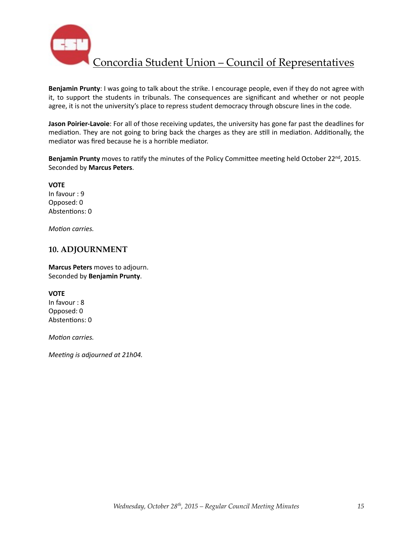

**Benjamin Prunty**: I was going to talk about the strike. I encourage people, even if they do not agree with it, to support the students in tribunals. The consequences are significant and whether or not people agree, it is not the university's place to repress student democracy through obscure lines in the code.

**Jason Poirier-Lavoie**: For all of those receiving updates, the university has gone far past the deadlines for mediation. They are not going to bring back the charges as they are still in mediation. Additionally, the mediator was fired because he is a horrible mediator.

Benjamin Prunty moves to ratify the minutes of the Policy Committee meeting held October 22<sup>nd</sup>, 2015. Seconded by **Marcus Peters**. 

**VOTE**  In favour : 9 Opposed: 0 Abstentions: 0

*Motion carries.* 

### **10. ADJOURNMENT**

**Marcus Peters** moves to adjourn. Seconded by **Benjamin Prunty**. 

**VOTE** 

In favour : 8 Opposed: 0 Abstentions: 0

*Motion carries.* 

*Meeting is adjourned at 21h04.*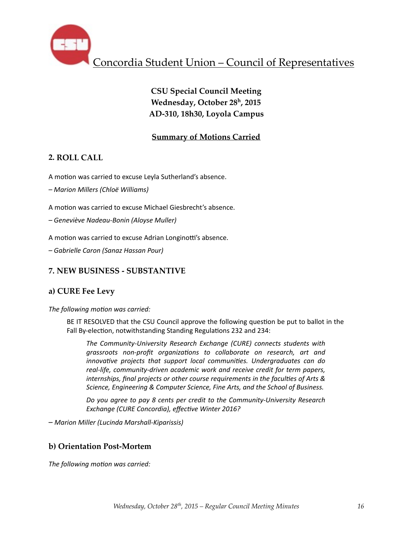

# **CSU Special Council Meeting Wednesday, October 28h, 2015 AD-310, 18h30, Loyola Campus**

## **Summary of Motions Carried**

## **2. ROLL CALL**

A motion was carried to excuse Leyla Sutherland's absence.

*– Marion Millers (Chloë Williams)* 

A motion was carried to excuse Michael Giesbrecht's absence.

*– Geneviève Nadeau-Bonin (Aloyse Muller)* 

A motion was carried to excuse Adrian Longinotti's absence.

*– Gabrielle Caron (Sanaz Hassan Pour)*

## **7. NEW BUSINESS - SUBSTANTIVE**

## **a) CURE Fee Levy**

#### The following motion was carried:

BE IT RESOLVED that the CSU Council approve the following question be put to ballot in the Fall By-election, notwithstanding Standing Regulations 232 and 234:

The Community-University Research Exchange (CURE) connects students with grassroots non-profit organizations to collaborate on research, art and *innovative projects that support local communities. Undergraduates can do* real-life, community-driven academic work and receive credit for term papers, internships, final projects or other course requirements in the faculties of Arts & *Science, Engineering & Computer Science, Fine Arts, and the School of Business.* 

Do you agree to pay 8 cents per credit to the Community-University Research **Exchange (CURE Concordia), effective Winter 2016?** 

*– Marion Miller (Lucinda Marshall-Kiparissis)* 

### **b) Orientation Post-Mortem**

The following motion was carried: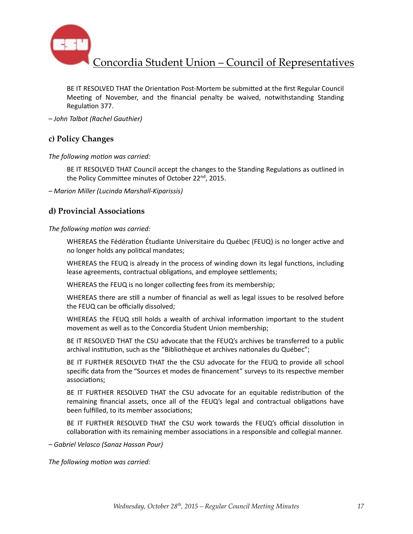

BE IT RESOLVED THAT the Orientation Post-Mortem be submitted at the first Regular Council Meeting of November, and the financial penalty be waived, notwithstanding Standing Regulation 377.

*– John Talbot (Rachel Gauthier)* 

### **c) Policy Changes**

The following motion was carried:

BE IT RESOLVED THAT Council accept the changes to the Standing Regulations as outlined in the Policy Committee minutes of October 22<sup>nd</sup>, 2015.

*– Marion Miller (Lucinda Marshall-Kiparissis)* 

### **d) Provincial Associations**

The following motion was carried:

WHEREAS the Fédération Étudiante Universitaire du Québec (FEUQ) is no longer active and no longer holds any political mandates;

WHEREAS the FEUQ is already in the process of winding down its legal functions, including lease agreements, contractual obligations, and employee settlements;

WHEREAS the FEUQ is no longer collecting fees from its membership;

WHEREAS there are still a number of financial as well as legal issues to be resolved before the FEUQ can be officially dissolved;

WHEREAS the FEUQ still holds a wealth of archival information important to the student movement as well as to the Concordia Student Union membership;

BE IT RESOLVED THAT the CSU advocate that the FEUQ's archives be transferred to a public archival institution, such as the "Bibliothèque et archives nationales du Québec";

BE IT FURTHER RESOLVED THAT the the CSU advocate for the FEUQ to provide all school specific data from the "Sources et modes de financement" surveys to its respective member associations;

BE IT FURTHER RESOLVED THAT the CSU advocate for an equitable redistribution of the remaining financial assets, once all of the FEUQ's legal and contractual obligations have been fulfilled, to its member associations;

BE IT FURTHER RESOLVED THAT the CSU work towards the FEUQ's official dissolution in collaboration with its remaining member associations in a responsible and collegial manner.

*– Gabriel Velasco (Sanaz Hassan Pour)* 

The following motion was carried: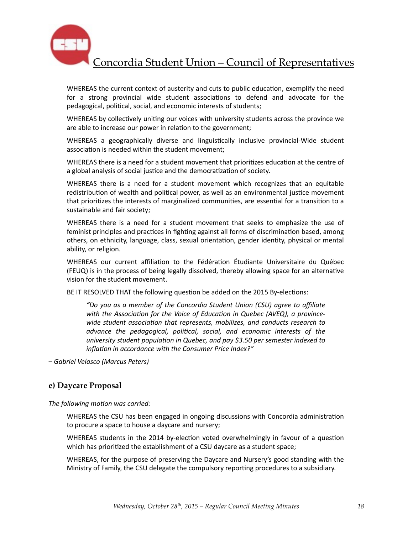

WHEREAS the current context of austerity and cuts to public education, exemplify the need for a strong provincial wide student associations to defend and advocate for the pedagogical, political, social, and economic interests of students;

WHEREAS by collectively uniting our voices with university students across the province we are able to increase our power in relation to the government;

WHEREAS a geographically diverse and linguistically inclusive provincial-Wide student association is needed within the student movement:

WHEREAS there is a need for a student movement that prioritizes education at the centre of a global analysis of social justice and the democratization of society.

WHEREAS there is a need for a student movement which recognizes that an equitable redistribution of wealth and political power, as well as an environmental justice movement that prioritizes the interests of marginalized communities, are essential for a transition to a sustainable and fair society;

WHEREAS there is a need for a student movement that seeks to emphasize the use of feminist principles and practices in fighting against all forms of discrimination based, among others, on ethnicity, language, class, sexual orientation, gender identity, physical or mental ability, or religion.

WHEREAS our current affiliation to the Fédération Étudiante Universitaire du Québec (FEUQ) is in the process of being legally dissolved, thereby allowing space for an alternative vision for the student movement.

BE IT RESOLVED THAT the following question be added on the 2015 By-elections:

*"Do you as a member of the Concordia Student Union (CSU) agree to affiliate*  with the Association for the Voice of Education in Quebec (AVEQ), a provincewide student association that represents, mobilizes, and conducts research to advance the pedagogical, political, social, and economic interests of the *university student population in Quebec, and pay \$3.50 per semester indexed to* inflation in accordance with the Consumer Price Index?"

*– Gabriel Velasco (Marcus Peters)* 

### **e) Daycare Proposal**

The following motion was carried:

WHEREAS the CSU has been engaged in ongoing discussions with Concordia administration to procure a space to house a daycare and nursery;

WHEREAS students in the 2014 by-election voted overwhelmingly in favour of a question which has prioritized the establishment of a CSU daycare as a student space;

WHEREAS, for the purpose of preserving the Daycare and Nursery's good standing with the Ministry of Family, the CSU delegate the compulsory reporting procedures to a subsidiary.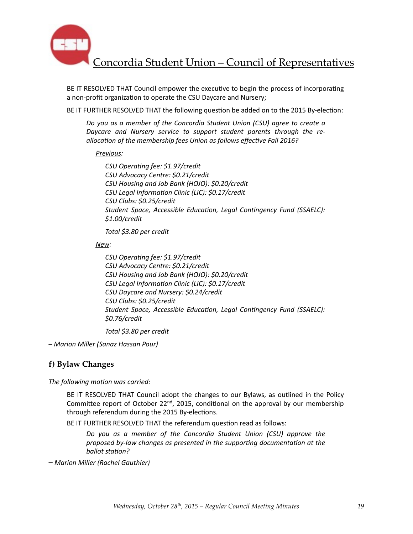

BE IT RESOLVED THAT Council empower the executive to begin the process of incorporating a non-profit organization to operate the CSU Daycare and Nursery;

BE IT FURTHER RESOLVED THAT the following question be added on to the 2015 By-election:

Do you as a member of the Concordia Student Union (CSU) agree to create a Daycare and Nursery service to support student parents through the reallocation of the membership fees Union as follows effective Fall 2016?

#### *Previous:*

*CSU Opera6ng fee: \$1.97/credit CSU Advocacy Centre: \$0.21/credit CSU Housing and Job Bank (HOJO): \$0.20/credit* CSU Legal Information Clinic (LIC): \$0.17/credit *CSU Clubs: \$0.25/credit Student Space, Accessible Education, Legal Contingency Fund (SSAELC): \$1.00/credit* 

*Total \$3.80 per credit* 

#### New:

*CSU Opera6ng fee: \$1.97/credit CSU Advocacy Centre: \$0.21/credit CSU Housing and Job Bank (HOJO): \$0.20/credit* CSU Legal Information Clinic (LIC): \$0.17/credit *CSU Daycare and Nursery: \$0.24/credit CSU Clubs: \$0.25/credit Student Space, Accessible Education, Legal Contingency Fund (SSAELC): \$0.76/credit* 

*Total \$3.80 per credit* 

*– Marion Miller (Sanaz Hassan Pour)* 

## **f) Bylaw Changes**

The following motion was carried:

BE IT RESOLVED THAT Council adopt the changes to our Bylaws, as outlined in the Policy Committee report of October 22<sup>nd</sup>, 2015, conditional on the approval by our membership through referendum during the 2015 By-elections.

BE IT FURTHER RESOLVED THAT the referendum question read as follows:

Do you as a member of the Concordia Student Union (CSU) approve the *proposed by-law changes as presented in the supporting documentation at the ballot station?* 

*– Marion Miller (Rachel Gauthier)*